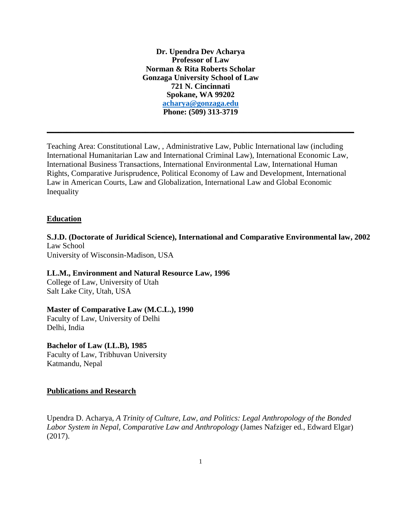**Dr. Upendra Dev Acharya Professor of Law Norman & Rita Roberts Scholar Gonzaga University School of Law 721 N. Cincinnati Spokane, WA 99202 [acharya@gonzaga.edu](mailto:acharya@gonzaga.edu) Phone: (509) 313-3719**

**\_\_\_\_\_\_\_\_\_\_\_\_\_\_\_\_\_\_\_\_\_\_\_\_\_\_\_\_\_\_\_\_\_\_\_\_\_\_\_\_\_\_\_\_\_\_\_\_\_\_\_\_\_\_\_\_\_\_\_\_\_\_\_\_\_\_\_\_\_\_\_\_\_\_\_\_\_\_**

Teaching Area: Constitutional Law, , Administrative Law, Public International law (including International Humanitarian Law and International Criminal Law), International Economic Law, International Business Transactions, International Environmental Law, International Human Rights, Comparative Jurisprudence, Political Economy of Law and Development, International Law in American Courts, Law and Globalization, International Law and Global Economic Inequality

## **Education**

**S.J.D. (Doctorate of Juridical Science), International and Comparative Environmental law, 2002** Law School

University of Wisconsin-Madison, USA

**LL.M., Environment and Natural Resource Law, 1996** College of Law, University of Utah

Salt Lake City, Utah, USA

## **Master of Comparative Law (M.C.L.), 1990**

Faculty of Law, University of Delhi Delhi, India

## **Bachelor of Law (LL.B), 1985**

Faculty of Law, Tribhuvan University Katmandu, Nepal

## **Publications and Research**

Upendra D. Acharya, *A Trinity of Culture, Law, and Politics: Legal Anthropology of the Bonded Labor System in Nepal, Comparative Law and Anthropology* (James Nafziger ed*.*, Edward Elgar) (2017).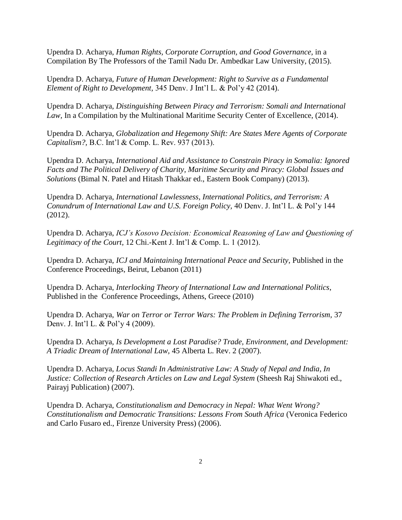Upendra D. Acharya, *Human Rights, Corporate Corruption, and Good Governance,* in a Compilation By The Professors of the Tamil Nadu Dr. Ambedkar Law University, (2015).

Upendra D. Acharya, *Future of Human Development: Right to Survive as a Fundamental Element of Right to Development,* 345 Denv. J Int'l L. & Pol'y 42 (2014).

Upendra D. Acharya, *Distinguishing Between Piracy and Terrorism: Somali and International Law,* In a Compilation by the Multinational Maritime Security Center of Excellence, (2014).

Upendra D. Acharya, *Globalization and Hegemony Shift: Are States Mere Agents of Corporate Capitalism?,* B.C. Int'l & Comp. L. Rev. 937 (2013).

Upendra D. Acharya, *International Aid and Assistance to Constrain Piracy in Somalia: Ignored Facts and The Political Delivery of Charity, Maritime Security and Piracy: Global Issues and Solutions* (Bimal N. Patel and Hitash Thakkar ed., Eastern Book Company) (2013).

Upendra D. Acharya, *International Lawlessness, International Politics, and Terrorism: A Conundrum of International Law and U.S. Foreign Policy,* 40 Denv. J. Int'l L. & Pol'y 144 (2012).

Upendra D. Acharya, *ICJ's Kosovo Decision: Economical Reasoning of Law and Questioning of Legitimacy of the Court,* 12 Chi.-Kent J. Int'l & Comp. L. 1 (2012).

Upendra D. Acharya*, ICJ and Maintaining International Peace and Security*, Published in the Conference Proceedings, Beirut, Lebanon (2011)

Upendra D. Acharya, *Interlocking Theory of International Law and International Politics*, Published in the Conference Proceedings, Athens, Greece (2010)

Upendra D. Acharya, *War on Terror or Terror Wars: The Problem in Defining Terrorism,* 37 Denv. J. Int'l L. & Pol'y 4 (2009).

Upendra D. Acharya, *Is Development a Lost Paradise? Trade, Environment, and Development: A Triadic Dream of International Law,* 45 Alberta L. Rev. 2 (2007).

Upendra D. Acharya, *Locus Standi In Administrative Law: A Study of Nepal and India, In Justice: Collection of Research Articles on Law and Legal System* (Sheesh Raj Shiwakoti ed., Pairayj Publication) (2007).

Upendra D. Acharya, *Constitutionalism and Democracy in Nepal: What Went Wrong? Constitutionalism and Democratic Transitions: Lessons From South Africa* (Veronica Federico and Carlo Fusaro ed., Firenze University Press) (2006).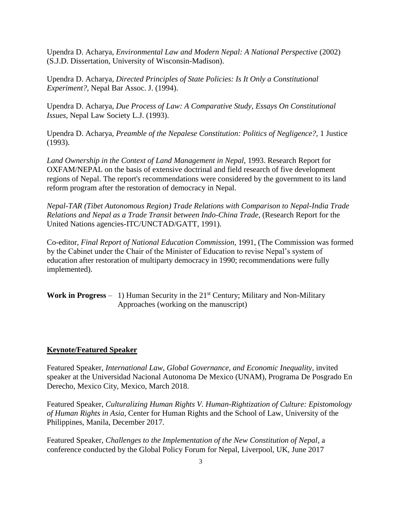Upendra D. Acharya, *Environmental Law and Modern Nepal: A National Perspective* (2002) (S.J.D. Dissertation, University of Wisconsin-Madison).

Upendra D. Acharya, *Directed Principles of State Policies: Is It Only a Constitutional Experiment?,* Nepal Bar Assoc. J. (1994).

Upendra D. Acharya, *Due Process of Law: A Comparative Study, Essays On Constitutional Issues,* Nepal Law Society L.J. (1993).

Upendra D. Acharya, *Preamble of the Nepalese Constitution: Politics of Negligence?,* 1 Justice (1993).

Land Ownership in the Context of Land Management in Nepal, 1993. Research Report for OXFAM/NEPAL on the basis of extensive doctrinal and field research of five development regions of Nepal. The report's recommendations were considered by the government to its land reform program after the restoration of democracy in Nepal.

*Nepal-TAR (Tibet Autonomous Region) Trade Relations with Comparison to Nepal-India Trade Relations and Nepal as a Trade Transit between Indo-China Trade,* (Research Report for the United Nations agencies-ITC/UNCTAD/GATT, 1991).

Co-editor, *Final Report of National Education Commission,* 1991, (The Commission was formed by the Cabinet under the Chair of the Minister of Education to revise Nepal's system of education after restoration of multiparty democracy in 1990; recommendations were fully implemented).

**Work in Progress** – 1) Human Security in the 21<sup>st</sup> Century; Military and Non-Military Approaches (working on the manuscript)

## **Keynote/Featured Speaker**

Featured Speaker, *International Law, Global Governance, and Economic Inequality*, invited speaker at the Universidad Nacional Autonoma De Mexico (UNAM), Programa De Posgrado En Derecho, Mexico City, Mexico, March 2018.

Featured Speaker, *Culturalizing Human Rights V. Human-Rightization of Culture: Epistomology of Human Rights in Asia*, Center for Human Rights and the School of Law, University of the Philippines, Manila, December 2017.

Featured Speaker, *Challenges to the Implementation of the New Constitution of Nepal*, a conference conducted by the Global Policy Forum for Nepal, Liverpool, UK, June 2017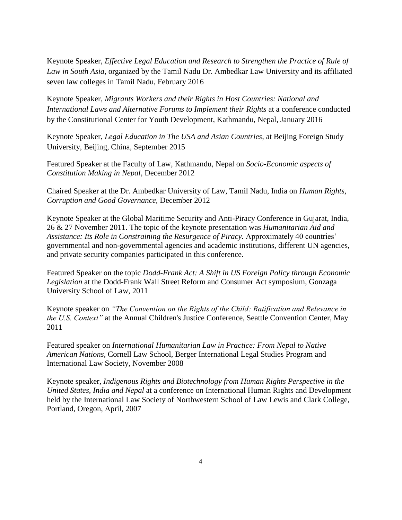Keynote Speaker, *Effective Legal Education and Research to Strengthen the Practice of Rule of Law in South Asia,* organized by the Tamil Nadu Dr. Ambedkar Law University and its affiliated seven law colleges in Tamil Nadu, February 2016

Keynote Speaker, *Migrants Workers and their Rights in Host Countries: National and International Laws and Alternative Forums to Implement their Rights* at a conference conducted by the Constitutional Center for Youth Development, Kathmandu, Nepal, January 2016

Keynote Speaker, *Legal Education in The USA and Asian Countries,* at Beijing Foreign Study University, Beijing, China, September 2015

Featured Speaker at the Faculty of Law, Kathmandu, Nepal on *Socio-Economic aspects of Constitution Making in Nepal*, December 2012

Chaired Speaker at the Dr. Ambedkar University of Law, Tamil Nadu, India on *Human Rights, Corruption and Good Governance,* December 2012

Keynote Speaker at the Global Maritime Security and Anti-Piracy Conference in Gujarat, India, 26 & 27 November 2011. The topic of the keynote presentation was *Humanitarian Aid and Assistance: Its Role in Constraining the Resurgence of Piracy.* Approximately 40 countries' governmental and non-governmental agencies and academic institutions, different UN agencies, and private security companies participated in this conference.

Featured Speaker on the topic *Dodd-Frank Act: A Shift in US Foreign Policy through Economic Legislation* at the Dodd-Frank Wall Street Reform and Consumer Act symposium, Gonzaga University School of Law, 2011

Keynote speaker on *"The Convention on the Rights of the Child: Ratification and Relevance in the U.S. Context"* at the Annual Children's Justice Conference, Seattle Convention Center, May 2011

Featured speaker on *International Humanitarian Law in Practice: From Nepal to Native American Nations*, Cornell Law School, Berger International Legal Studies Program and International Law Society, November 2008

Keynote speaker, *Indigenous Rights and Biotechnology from Human Rights Perspective in the United States, India and Nepal* at a conference on International Human Rights and Development held by the International Law Society of Northwestern School of Law Lewis and Clark College, Portland, Oregon, April, 2007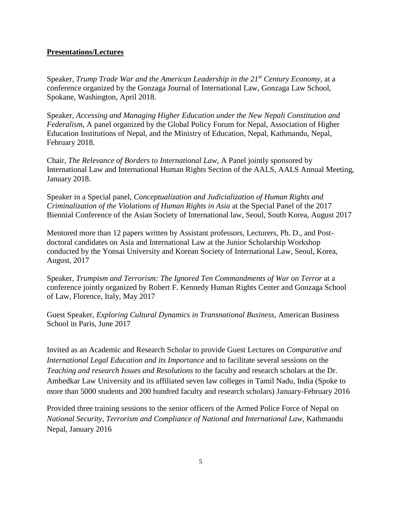## **Presentations/Lectures**

Speaker, *Trump Trade War and the American Leadership in the 21st Century Economy,* at a conference organized by the Gonzaga Journal of International Law, Gonzaga Law School, Spokane, Washington, April 2018.

Speaker, *Accessing and Managing Higher Education under the New Nepali Constitution and Federalism*, A panel organized by the Global Policy Forum for Nepal, Association of Higher Education Institutions of Nepal, and the Ministry of Education, Nepal, Kathmandu, Nepal, February 2018.

Chair, *The Relevance of Borders to International Law*, A Panel jointly sponsored by International Law and International Human Rights Section of the AALS, AALS Annual Meeting, January 2018.

Speaker in a Special panel, *Conceptualization and Judicialization of Human Rights and Criminalization of the Violations of Human Rights in Asia* at the Special Panel of the 2017 Biennial Conference of the Asian Society of International law, Seoul, South Korea, August 2017

Mentored more than 12 papers written by Assistant professors, Lecturers, Ph. D., and Postdoctoral candidates on Asia and International Law at the Junior Scholarship Workshop conducted by the Yonsai University and Korean Society of International Law, Seoul, Korea, August, 2017

Speaker, *Trumpism and Terrorism: The Ignored Ten Commandments of War on Terror* at a conference jointly organized by Robert F. Kennedy Human Rights Center and Gonzaga School of Law, Florence, Italy, May 2017

Guest Speaker, *Exploring Cultural Dynamics in Transnational Business,* American Business School in Paris, June 2017

Invited as an Academic and Research Scholar to provide Guest Lectures on *Comparative and International Legal Education and its Importance* and to facilitate several sessions on the *Teaching and research Issues and Resolutions* to the faculty and research scholars at the Dr. Ambedkar Law University and its affiliated seven law colleges in Tamil Nadu, India (Spoke to more than 5000 students and 200 hundred faculty and research scholars) January-February 2016

Provided three training sessions to the senior officers of the Armed Police Force of Nepal on *National Security, Terrorism and Compliance of National and International Law,* Kathmandu Nepal, January 2016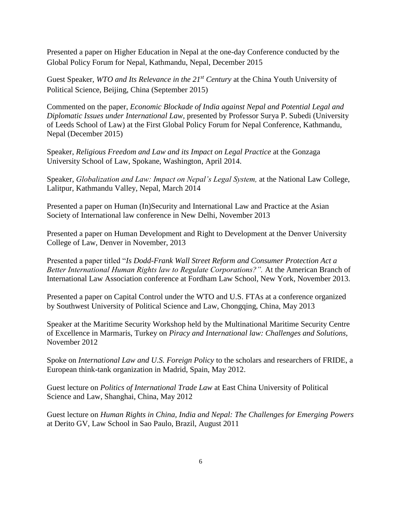Presented a paper on Higher Education in Nepal at the one-day Conference conducted by the Global Policy Forum for Nepal, Kathmandu, Nepal, December 2015

Guest Speaker, *WTO and Its Relevance in the 21st Century* at the China Youth University of Political Science, Beijing, China (September 2015)

Commented on the paper, *Economic Blockade of India against Nepal and Potential Legal and Diplomatic Issues under International Law,* presented by Professor Surya P. Subedi (University of Leeds School of Law) at the First Global Policy Forum for Nepal Conference, Kathmandu, Nepal (December 2015)

Speaker, *Religious Freedom and Law and its Impact on Legal Practice* at the Gonzaga University School of Law, Spokane, Washington, April 2014.

Speaker, *Globalization and Law: Impact on Nepal's Legal System,* at the National Law College, Lalitpur, Kathmandu Valley, Nepal, March 2014

Presented a paper on Human (In)Security and International Law and Practice at the Asian Society of International law conference in New Delhi, November 2013

Presented a paper on Human Development and Right to Development at the Denver University College of Law, Denver in November, 2013

Presented a paper titled "*Is Dodd-Frank Wall Street Reform and Consumer Protection Act a Better International Human Rights law to Regulate Corporations?".* At the American Branch of International Law Association conference at Fordham Law School, New York, November 2013.

Presented a paper on Capital Control under the WTO and U.S. FTAs at a conference organized by Southwest University of Political Science and Law, Chongqing, China, May 2013

Speaker at the Maritime Security Workshop held by the Multinational Maritime Security Centre of Excellence in Marmaris, Turkey on *Piracy and International law: Challenges and Solutions,* November 2012

Spoke on *International Law and U.S. Foreign Policy* to the scholars and researchers of FRIDE, a European think-tank organization in Madrid, Spain, May 2012.

Guest lecture on *Politics of International Trade Law* at East China University of Political Science and Law, Shanghai, China, May 2012

Guest lecture on *Human Rights in China, India and Nepal: The Challenges for Emerging Powers* at Derito GV, Law School in Sao Paulo, Brazil, August 2011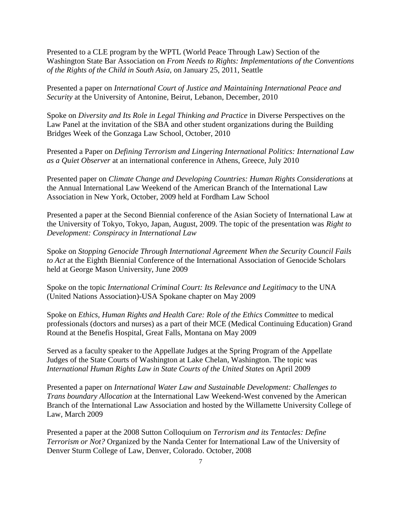Presented to a CLE program by the WPTL (World Peace Through Law) Section of the Washington State Bar Association on *From Needs to Rights: Implementations of the Conventions of the Rights of the Child in South Asia,* on January 25, 2011, Seattle

Presented a paper on *International Court of Justice and Maintaining International Peace and Security* at the University of Antonine, Beirut, Lebanon, December, 2010

Spoke on *Diversity and Its Role in Legal Thinking and Practice* in Diverse Perspectives on the Law Panel at the invitation of the SBA and other student organizations during the Building Bridges Week of the Gonzaga Law School, October, 2010

Presented a Paper on *Defining Terrorism and Lingering International Politics: International Law as a Quiet Observer* at an international conference in Athens, Greece, July 2010

Presented paper on *Climate Change and Developing Countries: Human Rights Considerations* at the Annual International Law Weekend of the American Branch of the International Law Association in New York, October, 2009 held at Fordham Law School

Presented a paper at the Second Biennial conference of the Asian Society of International Law at the University of Tokyo, Tokyo, Japan, August, 2009. The topic of the presentation was *Right to Development: Conspiracy in International Law*

Spoke on *Stopping Genocide Through International Agreement When the Security Council Fails to Act* at the Eighth Biennial Conference of the International Association of Genocide Scholars held at George Mason University, June 2009

Spoke on the topic *International Criminal Court: Its Relevance and Legitimacy* to the UNA (United Nations Association)-USA Spokane chapter on May 2009

Spoke on *Ethics, Human Rights and Health Care: Role of the Ethics Committee* to medical professionals (doctors and nurses) as a part of their MCE (Medical Continuing Education) Grand Round at the Benefis Hospital, Great Falls, Montana on May 2009

Served as a faculty speaker to the Appellate Judges at the Spring Program of the Appellate Judges of the State Courts of Washington at Lake Chelan, Washington. The topic was *International Human Rights Law in State Courts of the United States* on April 2009

Presented a paper on *International Water Law and Sustainable Development: Challenges to Trans boundary Allocation* at the International Law Weekend-West convened by the American Branch of the International Law Association and hosted by the Willamette University College of Law, March 2009

Presented a paper at the 2008 Sutton Colloquium on *Terrorism and its Tentacles: Define Terrorism or Not?* Organized by the Nanda Center for International Law of the University of Denver Sturm College of Law, Denver, Colorado. October, 2008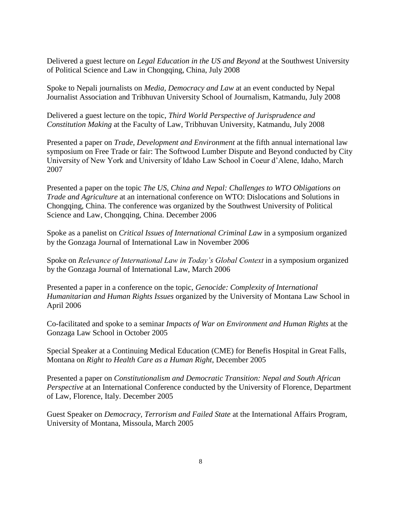Delivered a guest lecture on *Legal Education in the US and Beyond* at the Southwest University of Political Science and Law in Chongqing, China, July 2008

Spoke to Nepali journalists on *Media, Democracy and Law* at an event conducted by Nepal Journalist Association and Tribhuvan University School of Journalism, Katmandu, July 2008

Delivered a guest lecture on the topic, *Third World Perspective of Jurisprudence and Constitution Making* at the Faculty of Law, Tribhuvan University, Katmandu, July 2008

Presented a paper on *Trade, Development and Environment* at the fifth annual international law symposium on Free Trade or fair: The Softwood Lumber Dispute and Beyond conducted by City University of New York and University of Idaho Law School in Coeur d'Alene, Idaho, March 2007

Presented a paper on the topic *The US, China and Nepal: Challenges to WTO Obligations on Trade and Agriculture* at an international conference on WTO: Dislocations and Solutions in Chongqing, China. The conference was organized by the Southwest University of Political Science and Law, Chongqing, China. December 2006

Spoke as a panelist on *Critical Issues of International Criminal Law* in a symposium organized by the Gonzaga Journal of International Law in November 2006

Spoke on *Relevance of International Law in Today's Global Context* in a symposium organized by the Gonzaga Journal of International Law, March 2006

Presented a paper in a conference on the topic, *Genocide: Complexity of International Humanitarian and Human Rights Issues* organized by the University of Montana Law School in April 2006

Co-facilitated and spoke to a seminar *Impacts of War on Environment and Human Rights* at the Gonzaga Law School in October 2005

Special Speaker at a Continuing Medical Education (CME) for Benefis Hospital in Great Falls, Montana on *Right to Health Care as a Human Right*, December 2005

Presented a paper on *Constitutionalism and Democratic Transition: Nepal and South African Perspective* at an International Conference conducted by the University of Florence, Department of Law, Florence, Italy. December 2005

Guest Speaker on *Democracy, Terrorism and Failed State* at the International Affairs Program, University of Montana, Missoula, March 2005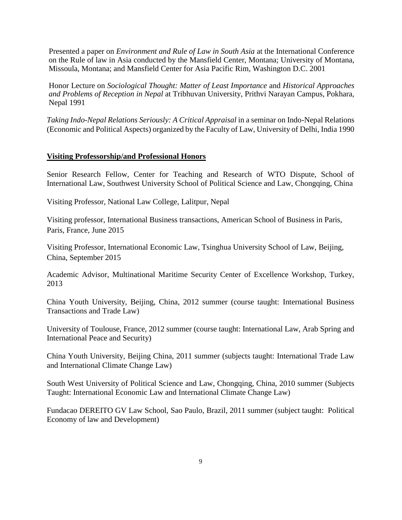Presented a paper on *Environment and Rule of Law in South Asia* at the International Conference on the Rule of law in Asia conducted by the Mansfield Center, Montana; University of Montana, Missoula, Montana; and Mansfield Center for Asia Pacific Rim, Washington D.C. 2001

Honor Lecture on *Sociological Thought: Matter of Least Importance* and *Historical Approaches and Problems of Reception in Nepal* at Tribhuvan University, Prithvi Narayan Campus, Pokhara, Nepal 1991

*Taking Indo-Nepal Relations Seriously: A Critical Appraisal* in a seminar on Indo-Nepal Relations (Economic and Political Aspects) organized by the Faculty of Law, University of Delhi, India 1990

## **Visiting Professorship/and Professional Honors**

Senior Research Fellow, Center for Teaching and Research of WTO Dispute, School of International Law, Southwest University School of Political Science and Law, Chongqing, China

Visiting Professor, National Law College, Lalitpur, Nepal

Visiting professor, International Business transactions, American School of Business in Paris, Paris, France, June 2015

Visiting Professor, International Economic Law, Tsinghua University School of Law, Beijing, China, September 2015

Academic Advisor, Multinational Maritime Security Center of Excellence Workshop, Turkey, 2013

China Youth University, Beijing, China, 2012 summer (course taught: International Business Transactions and Trade Law)

University of Toulouse, France, 2012 summer (course taught: International Law, Arab Spring and International Peace and Security)

China Youth University, Beijing China, 2011 summer (subjects taught: International Trade Law and International Climate Change Law)

South West University of Political Science and Law, Chongqing, China, 2010 summer (Subjects Taught: International Economic Law and International Climate Change Law)

Fundacao DEREITO GV Law School, Sao Paulo, Brazil, 2011 summer (subject taught: Political Economy of law and Development)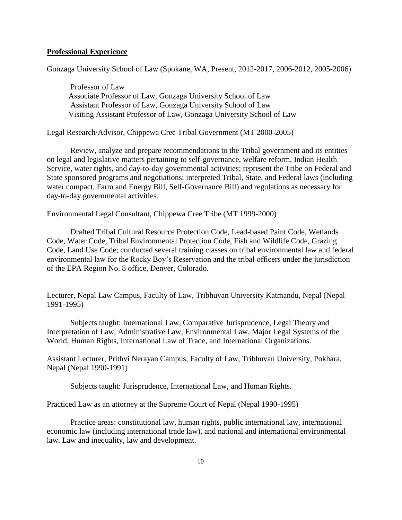## **Professional Experience**

Gonzaga University School of Law (Spokane, WA, Present, 2012-2017, 2006-2012, 2005-2006)

Professor of Law Associate Professor of Law, Gonzaga University School of Law Assistant Professor of Law, Gonzaga University School of Law Visiting Assistant Professor of Law, Gonzaga University School of Law

Legal Research/Advisor, Chippewa Cree Tribal Government (MT 2000-2005)

Review, analyze and prepare recommendations to the Tribal government and its entities on legal and legislative matters pertaining to self-governance, welfare reform, Indian Health Service, water rights, and day-to-day governmental activities; represent the Tribe on Federal and State sponsored programs and negotiations; interpreted Tribal, State, and Federal laws (including water compact, Farm and Energy Bill, Self-Governance Bill) and regulations as necessary for day-to-day governmental activities.

Environmental Legal Consultant, Chippewa Cree Tribe (MT 1999-2000)

Drafted Tribal Cultural Resource Protection Code, Lead-based Paint Code, Wetlands Code, Water Code, Tribal Environmental Protection Code, Fish and Wildlife Code, Grazing Code, Land Use Code; conducted several training classes on tribal environmental law and federal environmental law for the Rocky Boy's Reservation and the tribal officers under the jurisdiction of the EPA Region No. 8 office, Denver, Colorado.

Lecturer, Nepal Law Campus, Faculty of Law, Tribhuvan University Katmandu, Nepal (Nepal 1991-1995)

Subjects taught: International Law, Comparative Jurisprudence, Legal Theory and Interpretation of Law, Administrative Law, Environmental Law, Major Legal Systems of the World, Human Rights, International Law of Trade, and International Organizations.

Assistant Lecturer, Prithvi Nerayan Campus, Faculty of Law, Tribhuvan University, Pokhara, Nepal (Nepal 1990-1991)

Subjects taught: Jurisprudence, International Law, and Human Rights.

Practiced Law as an attorney at the Supreme Court of Nepal (Nepal 1990-1995)

Practice areas: constitutional law, human rights, public international law, international economic law (including international trade law), and national and international environmental law. Law and inequality, law and development.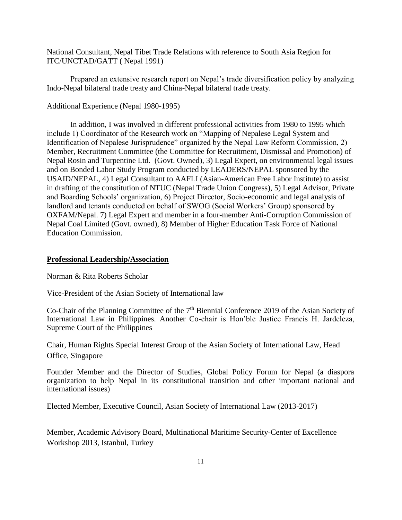National Consultant, Nepal Tibet Trade Relations with reference to South Asia Region for ITC/UNCTAD/GATT ( Nepal 1991)

Prepared an extensive research report on Nepal's trade diversification policy by analyzing Indo-Nepal bilateral trade treaty and China-Nepal bilateral trade treaty.

#### Additional Experience (Nepal 1980-1995)

In addition, I was involved in different professional activities from 1980 to 1995 which include 1) Coordinator of the Research work on "Mapping of Nepalese Legal System and Identification of Nepalese Jurisprudence" organized by the Nepal Law Reform Commission, 2) Member, Recruitment Committee (the Committee for Recruitment, Dismissal and Promotion) of Nepal Rosin and Turpentine Ltd. (Govt. Owned), 3) Legal Expert, on environmental legal issues and on Bonded Labor Study Program conducted by LEADERS/NEPAL sponsored by the USAID/NEPAL, 4) Legal Consultant to AAFLI (Asian-American Free Labor Institute) to assist in drafting of the constitution of NTUC (Nepal Trade Union Congress), 5) Legal Advisor, Private and Boarding Schools' organization, 6) Project Director, Socio-economic and legal analysis of landlord and tenants conducted on behalf of SWOG (Social Workers' Group) sponsored by OXFAM/Nepal. 7) Legal Expert and member in a four-member Anti-Corruption Commission of Nepal Coal Limited (Govt. owned), 8) Member of Higher Education Task Force of National Education Commission.

#### **Professional Leadership/Association**

Norman & Rita Roberts Scholar

Vice-President of the Asian Society of International law

Co-Chair of the Planning Committee of the  $7<sup>th</sup>$  Biennial Conference 2019 of the Asian Society of International Law in Philippines. Another Co-chair is Hon'ble Justice Francis H. Jardeleza, Supreme Court of the Philippines

Chair, Human Rights Special Interest Group of the Asian Society of International Law, Head Office, Singapore

Founder Member and the Director of Studies, Global Policy Forum for Nepal (a diaspora organization to help Nepal in its constitutional transition and other important national and international issues)

Elected Member, Executive Council, Asian Society of International Law (2013-2017)

Member, Academic Advisory Board, Multinational Maritime Security-Center of Excellence Workshop 2013, Istanbul, Turkey